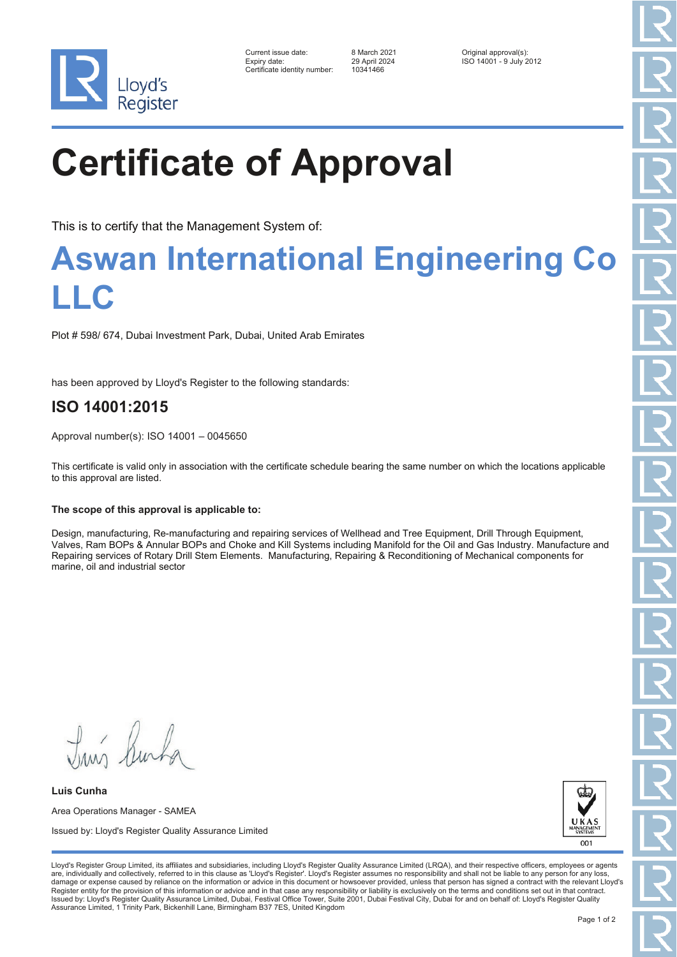

| Current issue date:          | 8 March 2021  | Original approval(s):   |
|------------------------------|---------------|-------------------------|
| Expiry date:                 | 29 April 2024 | ISO 14001 - 9 July 2012 |
| Certificate identity number: | 10341466      |                         |

 $-2.41466$ 

# **Certificate of Approval**

This is to certify that the Management System of:

### **Aswan International Engineering Co LLC**

Plot # 598/ 674, Dubai Investment Park, Dubai, United Arab Emirates

has been approved by Lloyd's Register to the following standards:

### **ISO 14001:2015**

Approval number(s): ISO 14001 – 0045650

This certificate is valid only in association with the certificate schedule bearing the same number on which the locations applicable to this approval are listed.

#### **The scope of this approval is applicable to:**

Design, manufacturing, Re-manufacturing and repairing services of Wellhead and Tree Equipment, Drill Through Equipment, Valves, Ram BOPs & Annular BOPs and Choke and Kill Systems including Manifold for the Oil and Gas Industry. Manufacture and Repairing services of Rotary Drill Stem Elements. Manufacturing, Repairing & Reconditioning of Mechanical components for marine, oil and industrial sector

Truis Rusha

**Luis Cunha** Area Operations Manager - SAMEA Issued by: Lloyd's Register Quality Assurance Limited



Lloyd's Register Group Limited, its affiliates and subsidiaries, including Lloyd's Register Quality Assurance Limited (LRQA), and their respective officers, employees or agents are, individually and collectively, referred to in this clause as 'Lloyd's Register'. Lloyd's Register assumes no responsibility and shall not be liable to any person for any los damage or expense caused by reliance on the information or advice in this document or howsoever provided, unless that person has signed a contract with the relevant Lloyd's<br>Register entity for the provision of this informa Issued by: Lloyd's Register Quality Assurance Limited, Dubai, Festival Office Tower, Suite 2001, Dubai Festival City, Dubai for and on behalf of: Lloyd's Register Quality Assurance Limited, 1 Trinity Park, Bickenhill Lane, Birmingham B37 7ES, United Kingdom